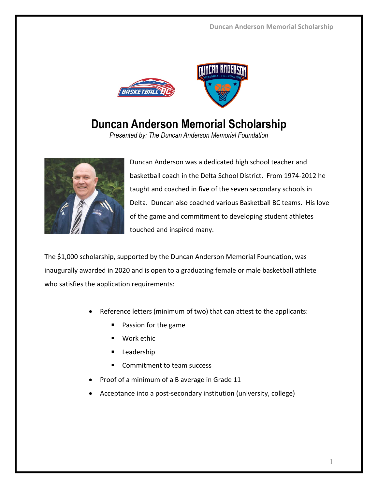

## **Duncan Anderson Memorial Scholarship**

*Presented by: The Duncan Anderson Memorial Foundation* 



Duncan Anderson was a dedicated high school teacher and basketball coach in the Delta School District. From 1974-2012 he taught and coached in five of the seven secondary schools in Delta. Duncan also coached various Basketball BC teams. His love of the game and commitment to developing student athletes touched and inspired many.

The \$1,000 scholarship, supported by the Duncan Anderson Memorial Foundation, was inaugurally awarded in 2020 and is open to a graduating female or male basketball athlete who satisfies the application requirements:

- Reference letters (minimum of two) that can attest to the applicants:
	- **Passion for the game**
	- Work ethic
	- **Leadership**
	- Commitment to team success
- Proof of a minimum of a B average in Grade 11
- Acceptance into a post-secondary institution (university, college)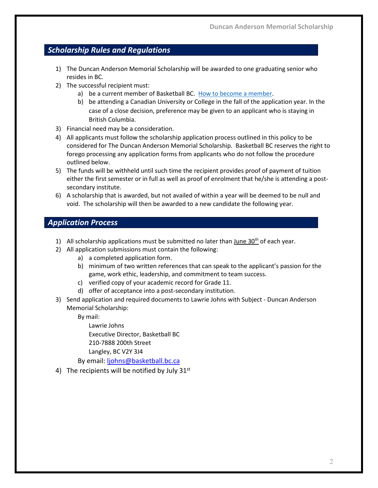## *Scholarship Rules and Regulations*

- 1) The Duncan Anderson Memorial Scholarship will be awarded to one graduating senior who resides in BC.
- 2) The successful recipient must:
	- a) be a current member of Basketball BC. [How to become a member.](https://www.basketball.bc.ca/index.php?NSWAT_url=membership)
	- b) be attending a Canadian University or College in the fall of the application year. In the case of a close decision, preference may be given to an applicant who is staying in British Columbia.
- 3) Financial need may be a consideration.
- 4) All applicants must follow the scholarship application process outlined in this policy to be considered for The Duncan Anderson Memorial Scholarship. Basketball BC reserves the right to forego processing any application forms from applicants who do not follow the procedure outlined below.
- 5) The funds will be withheld until such time the recipient provides proof of payment of tuition either the first semester or in full as well as proof of enrolment that he/she is attending a postsecondary institute.
- 6) A scholarship that is awarded, but not availed of within a year will be deemed to be null and void. The scholarship will then be awarded to a new candidate the following year.

## *Application Process*

- 1) All scholarship applications must be submitted no later than June  $30<sup>th</sup>$  of each year.
- 2) All application submissions must contain the following:
	- a) a completed application form.
	- b) minimum of two written references that can speak to the applicant's passion for the game, work ethic, leadership, and commitment to team success.
	- c) verified copy of your academic record for Grade 11.
	- d) offer of acceptance into a post-secondary institution.
- 3) Send application and required documents to Lawrie Johns with Subject Duncan Anderson Memorial Scholarship:

By mail:

Lawrie Johns Executive Director, Basketball BC 210-7888 200th Street Langley, BC V2Y 3J4

By email: [ljohns@basketball.bc.ca](mailto:ljohns@basketball.bc.ca)

4) The recipients will be notified by July  $31<sup>st</sup>$